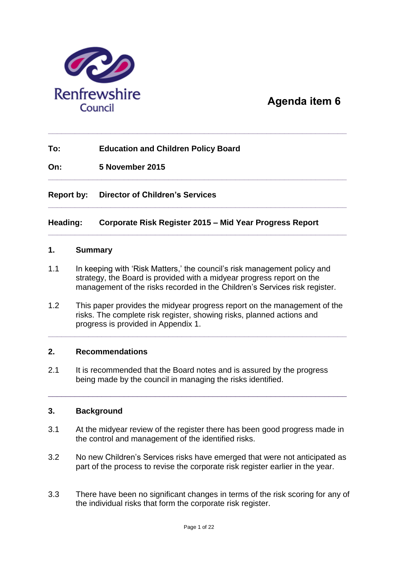

### **Agenda item 6**

### **To: Education and Children Policy Board**

**On: 5 November 2015**

#### **Report by: Director of Children's Services**

#### **Heading: Corporate Risk Register 2015 – Mid Year Progress Report**

**\_\_\_\_\_\_\_\_\_\_\_\_\_\_\_\_\_\_\_\_\_\_\_\_\_\_\_\_\_\_\_\_\_\_\_\_\_\_\_\_\_\_\_\_\_\_\_\_\_\_\_\_\_\_\_\_\_\_\_\_\_\_\_\_\_\_\_**

**\_\_\_\_\_\_\_\_\_\_\_\_\_\_\_\_\_\_\_\_\_\_\_\_\_\_\_\_\_\_\_\_\_\_\_\_\_\_\_\_\_\_\_\_\_\_\_\_\_\_\_\_\_\_\_\_\_\_\_\_\_\_\_\_\_\_\_**

**\_\_\_\_\_\_\_\_\_\_\_\_\_\_\_\_\_\_\_\_\_\_\_\_\_\_\_\_\_\_\_\_\_\_\_\_\_\_\_\_\_\_\_\_\_\_\_\_\_\_\_\_\_\_\_\_\_\_\_\_\_\_\_\_\_\_\_**

**\_\_\_\_\_\_\_\_\_\_\_\_\_\_\_\_\_\_\_\_\_\_\_\_\_\_\_\_\_\_\_\_\_\_\_\_\_\_\_\_\_\_\_\_\_\_\_\_\_\_\_\_\_\_\_\_\_\_\_\_\_\_\_\_\_\_\_**

#### **1. Summary**

- 1.1 In keeping with 'Risk Matters,' the council's risk management policy and strategy, the Board is provided with a midyear progress report on the management of the risks recorded in the Children's Services risk register.
- 1.2 This paper provides the midyear progress report on the management of the risks. The complete risk register, showing risks, planned actions and progress is provided in Appendix 1.

**\_\_\_\_\_\_\_\_\_\_\_\_\_\_\_\_\_\_\_\_\_\_\_\_\_\_\_\_\_\_\_\_\_\_\_\_\_\_\_\_\_\_\_\_\_\_\_\_\_\_\_\_\_\_\_\_\_\_\_\_\_\_\_\_\_\_\_**

#### **2. Recommendations**

2.1 It is recommended that the Board notes and is assured by the progress being made by the council in managing the risks identified.

#### **3. Background**

3.1 At the midyear review of the register there has been good progress made in the control and management of the identified risks.

\_\_\_\_\_\_\_\_\_\_\_\_\_\_\_\_\_\_\_\_\_\_\_\_\_\_\_\_\_\_\_\_\_\_\_\_\_\_\_\_\_\_\_\_\_\_\_\_\_\_\_\_\_\_\_\_\_\_\_\_\_\_\_\_\_\_\_

- 3.2 No new Children's Services risks have emerged that were not anticipated as part of the process to revise the corporate risk register earlier in the year.
- 3.3 There have been no significant changes in terms of the risk scoring for any of the individual risks that form the corporate risk register.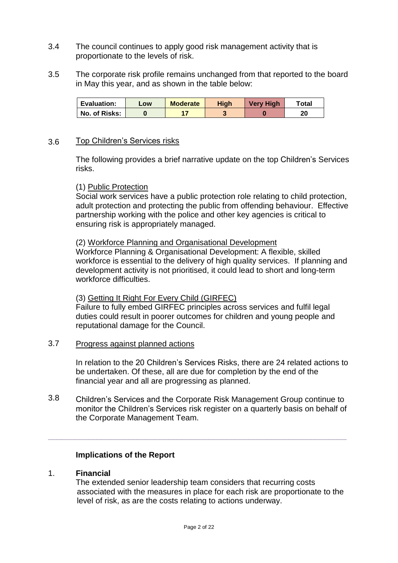- 3.4 The council continues to apply good risk management activity that is proportionate to the levels of risk.
- 3.5 The corporate risk profile remains unchanged from that reported to the board in May this year, and as shown in the table below:

| <b>Evaluation:</b> | LOW | <b>Moderate</b> | High | <b>Very High</b> | ™otal |
|--------------------|-----|-----------------|------|------------------|-------|
| No. of Risks:      |     |                 |      |                  | 20    |

#### 3.6 Top Children's Services risks

The following provides a brief narrative update on the top Children's Services risks.

#### (1) Public Protection

Social work services have a public protection role relating to child protection, adult protection and protecting the public from offending behaviour. Effective partnership working with the police and other key agencies is critical to ensuring risk is appropriately managed.

#### (2) Workforce Planning and Organisational Development

Workforce Planning & Organisational Development: A flexible, skilled workforce is essential to the delivery of high quality services. If planning and development activity is not prioritised, it could lead to short and long-term workforce difficulties.

#### (3) Getting It Right For Every Child (GIRFEC)

Failure to fully embed GIRFEC principles across services and fulfil legal duties could result in poorer outcomes for children and young people and reputational damage for the Council.

#### 3.7 Progress against planned actions

In relation to the 20 Children's Services Risks, there are 24 related actions to be undertaken. Of these, all are due for completion by the end of the financial year and all are progressing as planned.

3.8 Children's Services and the Corporate Risk Management Group continue to monitor the Children's Services risk register on a quarterly basis on behalf of the Corporate Management Team.

**\_\_\_\_\_\_\_\_\_\_\_\_\_\_\_\_\_\_\_\_\_\_\_\_\_\_\_\_\_\_\_\_\_\_\_\_\_\_\_\_\_\_\_\_\_\_\_\_\_\_\_\_\_\_\_\_\_\_\_\_\_\_\_\_\_\_\_**

#### **Implications of the Report**

#### 1. **Financial**

The extended senior leadership team considers that recurring costs associated with the measures in place for each risk are proportionate to the level of risk, as are the costs relating to actions underway.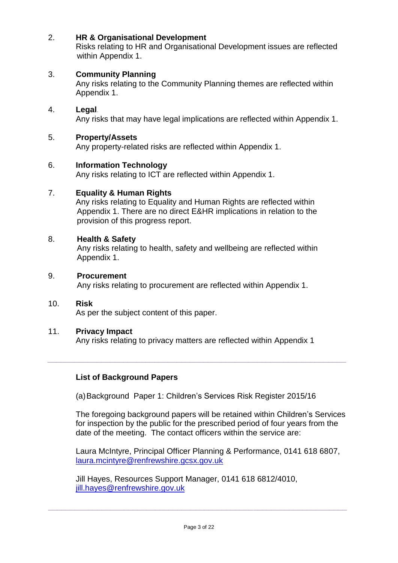#### 2. **HR & Organisational Development**

Risks relating to HR and Organisational Development issues are reflected within Appendix 1.

#### 3. **Community Planning**

Any risks relating to the Community Planning themes are reflected within Appendix 1.

#### 4. **Legal***.*

Any risks that may have legal implications are reflected within Appendix 1.

#### 5. **Property/Assets**

Any property-related risks are reflected within Appendix 1.

#### 6. **Information Technology**

Any risks relating to ICT are reflected within Appendix 1.

#### 7. **Equality & Human Rights**

Any risks relating to Equality and Human Rights are reflected within Appendix 1. There are no direct E&HR implications in relation to the provision of this progress report.

#### 8. **Health & Safety**

Any risks relating to health, safety and wellbeing are reflected within Appendix 1.

#### 9. **Procurement**

Any risks relating to procurement are reflected within Appendix 1.

#### 10. **Risk**

As per the subject content of this paper.

#### 11. **Privacy Impact**

Any risks relating to privacy matters are reflected within Appendix 1

*\_\_\_\_\_\_\_\_\_\_\_\_\_\_\_\_\_\_\_\_\_\_\_\_\_\_\_\_\_\_\_\_\_\_\_\_\_\_\_\_\_\_\_\_\_\_\_\_\_\_\_\_\_\_\_\_\_\_\_\_\_\_\_\_\_\_\_*

#### **List of Background Papers**

(a)Background Paper 1: Children's Services Risk Register 2015/16

The foregoing background papers will be retained within Children's Services for inspection by the public for the prescribed period of four years from the date of the meeting. The contact officers within the service are:

Laura McIntyre, Principal Officer Planning & Performance, 0141 618 6807, [laura.mcintyre@renfrewshire.gcsx.gov.uk](mailto:laura.mcintyre@renfrewshire.gcsx.gov.uk)

Jill Hayes, Resources Support Manager, 0141 618 6812/4010, [jill.hayes@renfrewshire.gov.uk](mailto:jill.hayes@renfrewshire.gov.uk)

**\_\_\_\_\_\_\_\_\_\_\_\_\_\_\_\_\_\_\_\_\_\_\_\_\_\_\_\_\_\_\_\_\_\_\_\_\_\_\_\_\_\_\_\_\_\_\_\_\_\_\_\_\_\_\_\_\_\_\_\_\_\_\_\_\_\_\_**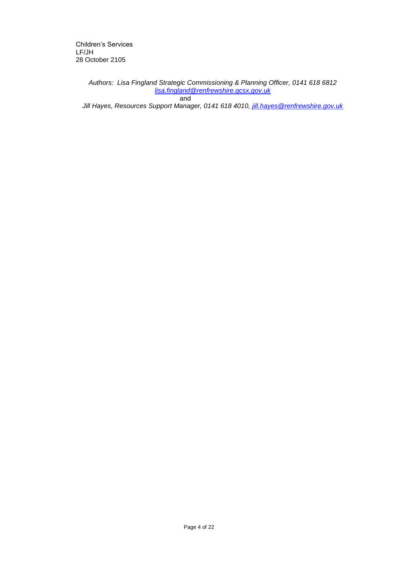Children's Services LF/JH 28 October 2105

> *Authors: Lisa Fingland Strategic Commissioning & Planning Officer, 0141 618 6812 [lisa.fingland@renfrewshire.gcsx.gov.uk](mailto:lisa.fingland@renfrewshire.gcsx.gov.uk)* and

*Jill Hayes, Resources Support Manager, 0141 618 4010, [jill.hayes@renfrewshire.gov.uk](mailto:jill.hayes@renfrewshire.gov.uk)*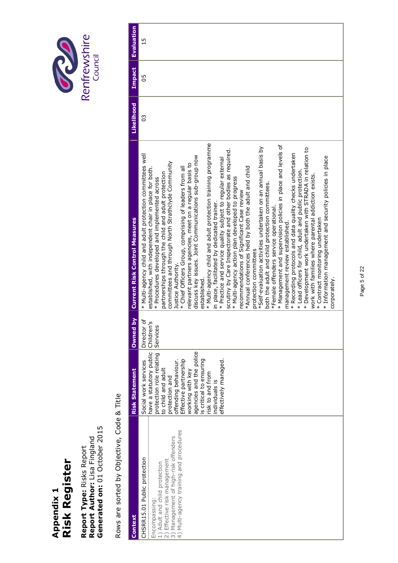# Appendix 1<br>Risk Register **Risk Register Appendix 1**

Report Type: Risks Report<br>Report Author: Lisa Fingland<br>Generated on: 01 October 2015 **Generated on:** 01 October 2015 **Report Author:** Lisa Fingland **Report Type:** Risks Report

Rows are sorted by Objective, Code & Title Rows are sorted by Objective, Code & Title

Page 5 of 22 Page 5 of 22

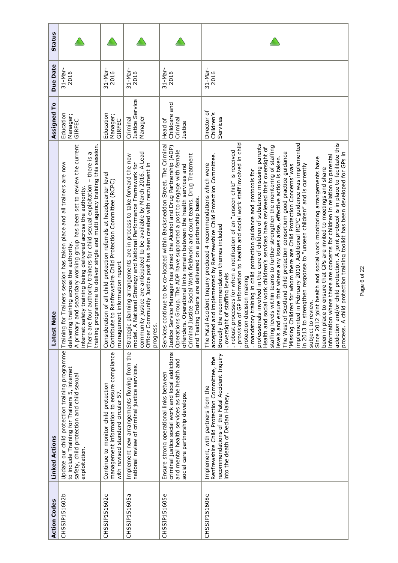| <b>Action Codes</b> | <b>Linked Actions</b>                                                                                                                                                             | <b>Note</b><br>Latest                                                                                                                                                                                                                                                                                                                                                                                                                                                                                                                                                                                                                                                                                                                                                                                                                                                                                                                                                                                                                                                                                                                                                                                                                                                                                                                                                                                                                                                                                                                                                        | Assigned To                                     | <b>Due Date</b>      | <b>Status</b> |
|---------------------|-----------------------------------------------------------------------------------------------------------------------------------------------------------------------------------|------------------------------------------------------------------------------------------------------------------------------------------------------------------------------------------------------------------------------------------------------------------------------------------------------------------------------------------------------------------------------------------------------------------------------------------------------------------------------------------------------------------------------------------------------------------------------------------------------------------------------------------------------------------------------------------------------------------------------------------------------------------------------------------------------------------------------------------------------------------------------------------------------------------------------------------------------------------------------------------------------------------------------------------------------------------------------------------------------------------------------------------------------------------------------------------------------------------------------------------------------------------------------------------------------------------------------------------------------------------------------------------------------------------------------------------------------------------------------------------------------------------------------------------------------------------------------|-------------------------------------------------|----------------------|---------------|
| CHSSIP151602b       | Update our child protection training programme Training<br>to include Training for Trainers 5, internet<br>safety, child protection and child sexual<br>exploitation.             | programme to deliver single and multi agency training this session.<br>A primary and secondary working group has been set to review the current<br>There are four authority trainers for child sexual exploitation - there is a<br>for Trainers session has taken place and all trainers are now<br>internet safety training being delivered across the authority.<br>delivering training across the authority.<br>training                                                                                                                                                                                                                                                                                                                                                                                                                                                                                                                                                                                                                                                                                                                                                                                                                                                                                                                                                                                                                                                                                                                                                  | Education<br>Manager;<br>GIRFEC                 | 31-Mar-<br>2016      |               |
| CHSSIP151602c       | management information to ensure compliance<br>Continue to monitor child protection<br>with revised standard circular 57.                                                         | Consideration of all child protection referrals at headquarter level<br>ce to Renfrewshire Child Protection Committee (RCPC)<br>management information report<br>Contribut                                                                                                                                                                                                                                                                                                                                                                                                                                                                                                                                                                                                                                                                                                                                                                                                                                                                                                                                                                                                                                                                                                                                                                                                                                                                                                                                                                                                   | Education<br>Manager;<br>GIRFEC                 | $31 - Mar-$<br>2016  |               |
| CHSSIP151605a       | Implement new arrangements flowing from the<br>national review of criminal justice services.                                                                                      | community justice are anticipated to be available by March 2016. A Lead<br>planning arrangements are in process to take forward the new<br>National Strategy and National Performance Framework for<br>Officer Community Justice post has been created with recruitment in<br>Strategic<br>model. A<br>progress                                                                                                                                                                                                                                                                                                                                                                                                                                                                                                                                                                                                                                                                                                                                                                                                                                                                                                                                                                                                                                                                                                                                                                                                                                                              | <b>Justice Service</b><br>Manager<br>Criminal   | $31-Nar-$<br>2016    |               |
| CHSSIP151605e       | criminal justice social work and local addictions<br>and mental health services as the health and<br>Ensure strong operational links between<br>social care partnership develops. | Services continue to be co-located within Backsneddon Street. The Criminal<br>Justice Service Manager has joined the Alcohol and Drug Partnership (ADP)<br>Operations Group. The ADP have supported a post to engage with female<br>Justice Social Work fieldwork and court teams. Drug Treatment<br>offenders. Operational links remain between the health services and<br>and Testing Orders are delivered on a partnership basis.<br>Criminal                                                                                                                                                                                                                                                                                                                                                                                                                                                                                                                                                                                                                                                                                                                                                                                                                                                                                                                                                                                                                                                                                                                             | Childcare and<br>Criminal<br>Head of<br>Justice | $31-Nar-$<br>2016    |               |
| CHSSIP151608c       | recommendations of the Fatal Accident Inquiry<br>Renfrewshire Child Protection Committee, the<br>Implement, with partners from the<br>into the death of Declan Hainey.            | provision of GP information to health and social work staff involved in child<br>implemented in February 2010. Additional RCPC guidance was implemented<br>and/or child protection. A joint protocol is in place to facilitate this<br>professionals involved in the care of children of substance misusing parents<br>staffing levels within teams to further strengthen the monitoring of staffing<br>Health and social work children's services have reviewed their oversight of<br>processes for when a notification of an "unseen child" is received<br>The West of Scotland child protection consortium good practice guidance<br>A child protection training toolkit has been developed for GPs in<br>and implemented by Renfrewshire Child Protection Committee.<br>information where there are concerns for children in relation to parental<br>d ensure that where any issues arise, effective action is taken.<br>Since 2012 joint health and social work monitoring arrangements have<br>I Accident Inquiry produced 4 recommendations which were<br>Children for whom there are Child Protection Concerns' was<br>to strengthen response to "unseen children" and is currently<br>been in place to ensure that GPs are invited to meetings and share<br>. mandatory training in child protection guidance and protocols for<br>Broadly the recommendation themes included<br>oversight of staffing levels<br>protection decision making<br>subject to review.<br>The Fata<br>accepted<br>addiction<br>in 2013 t<br>levels an<br>process.<br>'Missing<br>.robust | Director of<br>Children's<br>Services           | $31 - M$ ar-<br>2016 |               |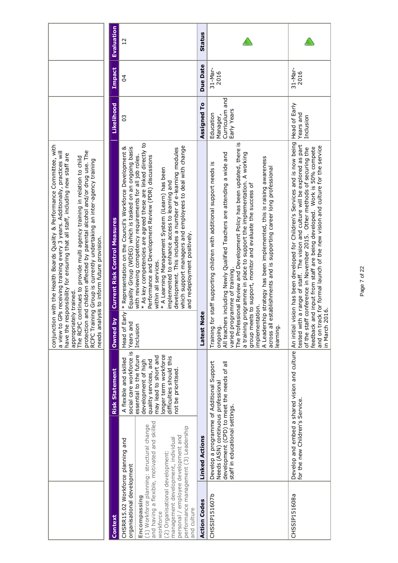|                                                                                                                                                                                                                                                                                                                                                                                                                                                                                                                                                       | <b>Evaluation</b>                                                  | $\frac{1}{2}$                                                                                                                                        |                                                                                                                                                                                                                                                                                                                                                                                                                                                                                       | Status                |                                                                                                                                                                                                                                                                                                                                                                                                                                                                                                                                                                                                           |                                                                                                                                                                                                                                                                                                                                                                                                                      |
|-------------------------------------------------------------------------------------------------------------------------------------------------------------------------------------------------------------------------------------------------------------------------------------------------------------------------------------------------------------------------------------------------------------------------------------------------------------------------------------------------------------------------------------------------------|--------------------------------------------------------------------|------------------------------------------------------------------------------------------------------------------------------------------------------|---------------------------------------------------------------------------------------------------------------------------------------------------------------------------------------------------------------------------------------------------------------------------------------------------------------------------------------------------------------------------------------------------------------------------------------------------------------------------------------|-----------------------|-----------------------------------------------------------------------------------------------------------------------------------------------------------------------------------------------------------------------------------------------------------------------------------------------------------------------------------------------------------------------------------------------------------------------------------------------------------------------------------------------------------------------------------------------------------------------------------------------------------|----------------------------------------------------------------------------------------------------------------------------------------------------------------------------------------------------------------------------------------------------------------------------------------------------------------------------------------------------------------------------------------------------------------------|
|                                                                                                                                                                                                                                                                                                                                                                                                                                                                                                                                                       | Impact                                                             | 3                                                                                                                                                    |                                                                                                                                                                                                                                                                                                                                                                                                                                                                                       | Due Date              | 31-Mar-<br>2016                                                                                                                                                                                                                                                                                                                                                                                                                                                                                                                                                                                           | $31-Nar-$<br>2016                                                                                                                                                                                                                                                                                                                                                                                                    |
|                                                                                                                                                                                                                                                                                                                                                                                                                                                                                                                                                       | <b>Likelihood</b>                                                  | 3                                                                                                                                                    |                                                                                                                                                                                                                                                                                                                                                                                                                                                                                       | Assigned To           | Curriculum and<br>Early Years<br>Education<br>Manager,                                                                                                                                                                                                                                                                                                                                                                                                                                                                                                                                                    | Head of Early<br>Years and<br>Inclusion                                                                                                                                                                                                                                                                                                                                                                              |
| conjunction with the Health Boards Quality & Performance Committee, with<br>protection and children affected by parental alcohol and/or drug use. The<br>RCPC Training Group is currently undertaking an inter-agency training<br>a view to GPs receiving training every 3 years. Additionally, practices will<br>responsibility for ensuring that all staff, including new staff are<br>The RCPC continues to provide multi agency training in relation to child<br>needs analysis to inform future provision.<br>appropriately trained.<br>have the | <b>Current Risk Control Measures</b><br>$\mathbf{\Sigma}$<br>Owned | Early * Representation on the Council's Workforce Development &<br>Equality Group (WDEG) which is tasked on an ongoing basis<br>Years and<br>Head of | * As key competencies are agreed these are linked directly to<br>which support managers and employees to deal with change<br>development. This includes a number of e-learning modules<br>with reviewing competency requirements for all job roles.<br>Performance and Development Review (PDR) discussions<br>* A Learning Management System (ilearn) has been<br>implemented to enhance access to learning and<br>and redeployment positively.<br>within all services.<br>Inclusion | Note<br>Latest        | The Professional Review and Development Policy has been updated, there is<br>a training programme in place to support the implementation. A working<br>All teachers including Newly Qualified Teachers are attending a wide and<br>A Leadership strategy has been implemented, this is raising awareness<br>for staff supporting children with additional support needs is<br>across all establishments and is supporting career long professional<br>group meets to support, monitor and evaluate the success of<br>varied programme of training.<br>implementation.<br>earning.<br>ongoing.<br>Training | vision has been developed for Children's Services and is now being<br>tested with a range of staff. The vision and culture will be explored as part<br>ack for formal launch of the new vision and culture for the service<br>and input from staff are being developed. Work is 50% compete<br>of the staff conference in November 2015. Other methods of securing the<br>2016.<br>feedback<br>and on tr<br>in March |
|                                                                                                                                                                                                                                                                                                                                                                                                                                                                                                                                                       | <b>Risk Statement</b>                                              | social care workforce is<br>A flexible and skilled                                                                                                   | essential to the future<br>longer term workforce<br>may lead to short and<br>difficulties should this<br>quality services, and<br>development of high<br>not be prioritised.                                                                                                                                                                                                                                                                                                          |                       | Develop a programme of Additional Support<br>development (CPD) to meet the needs of all<br>Needs (ASN) continuous professional<br>staff in educational settings.                                                                                                                                                                                                                                                                                                                                                                                                                                          | Develop and embed a shared vision and culture   An initial<br>for the new Children's Service.                                                                                                                                                                                                                                                                                                                        |
|                                                                                                                                                                                                                                                                                                                                                                                                                                                                                                                                                       |                                                                    |                                                                                                                                                      |                                                                                                                                                                                                                                                                                                                                                                                                                                                                                       | <b>Linked Actions</b> |                                                                                                                                                                                                                                                                                                                                                                                                                                                                                                                                                                                                           |                                                                                                                                                                                                                                                                                                                                                                                                                      |
|                                                                                                                                                                                                                                                                                                                                                                                                                                                                                                                                                       | Context                                                            | CHSRR15.02 Workforce planning and<br>organisational development                                                                                      | and having a flexible, motivated and skilled<br>(1) Workforce planning: structural change<br>performance management (3) Leadership<br>personal / employee development and<br>management development, individual<br>(2) Organisational development:<br>Encompassing<br>and culture<br>workforce                                                                                                                                                                                        | <b>Action Codes</b>   | CHSSIP151607b                                                                                                                                                                                                                                                                                                                                                                                                                                                                                                                                                                                             | CHSSIP151608a                                                                                                                                                                                                                                                                                                                                                                                                        |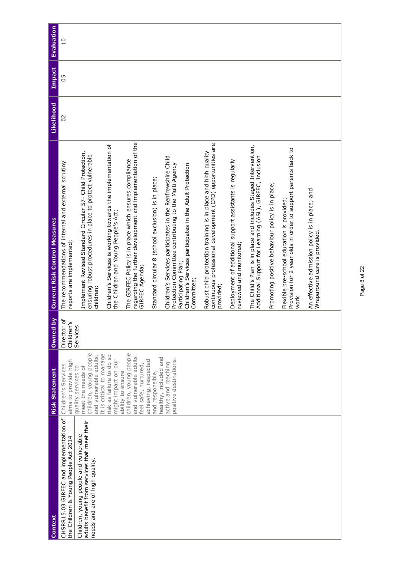| Context                                                                                                                 | <b>Risk Statement</b>                                                                        | Owned by                  | <b>Current Risk Control Measures</b>                                                                                                      | Likelihood | <b>Impact</b> | Evaluation    |
|-------------------------------------------------------------------------------------------------------------------------|----------------------------------------------------------------------------------------------|---------------------------|-------------------------------------------------------------------------------------------------------------------------------------------|------------|---------------|---------------|
| CHSRR15.03 GIRFEC and implementation of<br>the Children & Young People Act 2014                                         | aims to provide high<br>Children's Services                                                  | Director of<br>Children's | The recommendations of internal and external scrutiny<br>reports are implemented;                                                         | 20         | 50            | $\frac{0}{1}$ |
| adults benefit from services that meet their<br>Children, young people and vulnerable<br>needs and are of high quality. | children, young people<br>and vulnerable adults.<br>meet the needs of<br>quality services to | Services                  | Implement Revised Standard Circular 57- Child Protection,<br>ensuring robust procedures in place to protect vulnerable<br>children;       |            |               |               |
|                                                                                                                         | It is critical to manage<br>risk as failure to do so<br>might impact on our                  |                           | Children's Services is working towards the implementation of<br>the Children and Young People's Act;                                      |            |               |               |
|                                                                                                                         | children, young people<br>and vulnerable adults<br>feel safe, nurtured,<br>ability to ensure |                           | regarding the further development and implementation of the<br>The GIRFEC Policy is in place which ensures compliance<br>GIRFEC Agenda;   |            |               |               |
|                                                                                                                         | achieving, respected<br>and responsible,                                                     |                           | Standard circular 8 (school exclusion) is in place;                                                                                       |            |               |               |
|                                                                                                                         | healthy, included and<br>positive destinations.<br>active and reaching                       |                           | Children's Services participates in the Renfrewshire Child<br>Protection Committee contributing to the Multi Agency                       |            |               |               |
|                                                                                                                         |                                                                                              |                           | Children's Services participates in the Adult Protection<br>Participating Plan;<br>Committee;                                             |            |               |               |
|                                                                                                                         |                                                                                              |                           | continuous professional development (CPD) opportunities are<br>Robust child protection training is in place and high quality<br>provided; |            |               |               |
|                                                                                                                         |                                                                                              |                           | Deployment of additional support assistants is regularly<br>reviewed and monitored;                                                       |            |               |               |
|                                                                                                                         |                                                                                              |                           | The Child's Plan is in place and includes Staged Intervention,<br>Additional Support for Learning (ASL), GIRFEC, Inclusion                |            |               |               |
|                                                                                                                         |                                                                                              |                           | Promoting positive behaviour policy is in place;                                                                                          |            |               |               |
|                                                                                                                         |                                                                                              |                           | Provision for 2 year olds in order to support parents back to<br>Flexible pre-school education is provided;<br>work                       |            |               |               |
|                                                                                                                         |                                                                                              |                           | An effective admission policy is in place; and<br>Wraparound care is provided                                                             |            |               |               |
|                                                                                                                         |                                                                                              |                           |                                                                                                                                           |            |               |               |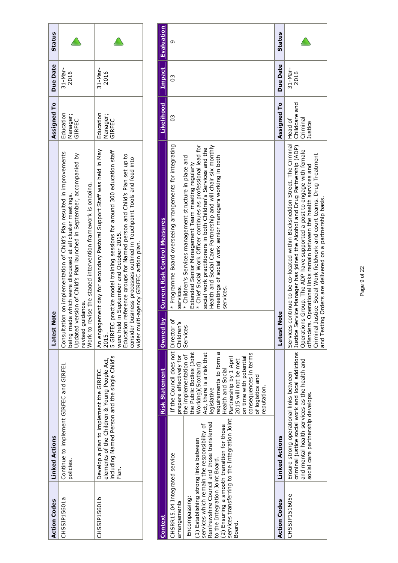| <b>Action Codes</b> | <b>Linked Actions</b>                                                                                                                            | Note<br>Latest                                                                                                                                                                                                                                                                                                                                                                                           | Assigned To                     | <b>Due Date</b>     | <b>Status</b> |
|---------------------|--------------------------------------------------------------------------------------------------------------------------------------------------|----------------------------------------------------------------------------------------------------------------------------------------------------------------------------------------------------------------------------------------------------------------------------------------------------------------------------------------------------------------------------------------------------------|---------------------------------|---------------------|---------------|
| CHSSIP15601a        | Continue to implement GIRFEC and GIRFEL<br>policies.                                                                                             | Consultation on implementation of Child's Plan resulted in improvements<br>Updated version of Child's Plan launched in September, accompanied by<br>Work to revise the staged intervention framework is ongoing.<br>being made which were discussed at all cluster meetings.<br>revised quidance.                                                                                                        | Education<br>Manager;<br>GIRFEC | $31 -$ Mar-<br>2016 |               |
| CHSSIP15601b        | including Named Person and the single Child's<br>elements of the Children & Young People Act,<br>Develop a plan to implement the GIRFEC<br>Plar. | An engagement day for secondary Pastoral Support Staff was held in May<br>5 GIRFEC practice model training sessions for around 300 education staff<br>Education reference groups for Named person and Child's Plan set up to<br>business processes outlined in Touchpoint Tools and feed into<br>were held in September and October 2015.<br>wider multi-agency GIRFEC action plan.<br>consider<br>2015. | Education<br>Manager;<br>GIRFEC | 31-Mar-<br>2016     |               |

| Context                                                                                                                                              |                                                                                                                                                                                           | <b>Risk Statement</b>                                                                                                                                                                                                                                                                                                                                                                   | Owned by         | <b>Current Risk Control Measures</b>                                                                                                                                                                                                                                                                                                                                                                                                                                                             | Likelihood                           | Impact          | Evaluation    |
|------------------------------------------------------------------------------------------------------------------------------------------------------|-------------------------------------------------------------------------------------------------------------------------------------------------------------------------------------------|-----------------------------------------------------------------------------------------------------------------------------------------------------------------------------------------------------------------------------------------------------------------------------------------------------------------------------------------------------------------------------------------|------------------|--------------------------------------------------------------------------------------------------------------------------------------------------------------------------------------------------------------------------------------------------------------------------------------------------------------------------------------------------------------------------------------------------------------------------------------------------------------------------------------------------|--------------------------------------|-----------------|---------------|
| (1) Establishing strong links between<br>CHSRR15.04 Integrated service<br>to the Integration Joint Board.<br>Encompassing:<br>arrangements<br>Board. | services transferring to the Integration Joint<br>Renfrewshire Council and those transferred<br>services which remain the responsibility of<br>(2) Ensuring a smooth transition for those | If the Council does not Director o<br>prepare effectively for   Children's<br>the Public Bodies (Joint<br>requirements to form a<br>Act, there is a risk that<br>the implementation of<br>consequences in terms<br>Partnership by 1 April<br>on time with potential<br>2015 will not be met<br>Working)(Scotland)<br>Health and Social<br>of logistics and<br>reputation.<br>egislative | Services         | * Programme Board overseeing arrangements for integrating<br>* Chief Social Work Officer continues as professional lead for<br>Health and Social Care Partnership and will chair six monthly<br>social work practitioners in both Children's Services and the<br>* Children's Services management structure in place and<br>meetings of social work senior managers working in both<br>Extended Senior Management Team meeting regularly<br>services.<br>services.                               | C                                    | C               | Ō             |
| <b>Action Codes</b>                                                                                                                                  | <b>Linked Actions</b>                                                                                                                                                                     |                                                                                                                                                                                                                                                                                                                                                                                         | lote<br>Latest N |                                                                                                                                                                                                                                                                                                                                                                                                                                                                                                  | Assigned To                          | <b>Due Date</b> | <b>Status</b> |
| CHSSIP151605e                                                                                                                                        | and mental health services as the health and<br>Ensure strong operational links between<br>social care partnership develops.                                                              |                                                                                                                                                                                                                                                                                                                                                                                         | Operation        | Services continue to be co-located within Backsneddon Street. The Criminal Head of<br>criminal justice social work and local addictions  Justice Service Manager has joined the Alcohol and Drug Partnership (ADP)<br>is Group. The ADP have supported a post to engage with female<br>Criminal Justice Social Work fieldwork and court teams. Drug Treatment<br>offenders. Operational links remain between the health services and<br>and Testing Orders are delivered on a partnership basis. | Childcare and<br>Criminal<br>Justice | 31-Mar-<br>2016 |               |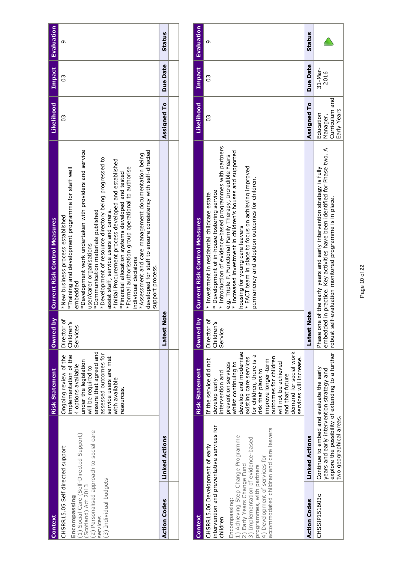| Context                                                                                                                                                                                              |                       | <b>Risk Statement</b>                                                                                                                                                                                                             | λq<br><b>Owned</b>                      | <b>Current Risk Control Measures</b>                                                                                                                                                                                                                                                                                                                                                                                                                                                                                                                                                                                                                                             | Likelihood         | Impact   | <b>Evaluation</b> |
|------------------------------------------------------------------------------------------------------------------------------------------------------------------------------------------------------|-----------------------|-----------------------------------------------------------------------------------------------------------------------------------------------------------------------------------------------------------------------------------|-----------------------------------------|----------------------------------------------------------------------------------------------------------------------------------------------------------------------------------------------------------------------------------------------------------------------------------------------------------------------------------------------------------------------------------------------------------------------------------------------------------------------------------------------------------------------------------------------------------------------------------------------------------------------------------------------------------------------------------|--------------------|----------|-------------------|
| (2) Personalised approach to social care<br>(1) Social Care (Self-Directed Support)<br>CHSRR15.05 Self directed support<br>(3) Individual budgets<br>(Scotland) Act 2013<br>Encompassing<br>services |                       | ensure that agreed and<br>assessed outcomes for<br>implementation of the<br>Ongoing review of the<br>service users are met<br>under the legislation<br>4 options available<br>will be required to<br>with available<br>resources. | Ⴆ<br>Children's<br>Director<br>Services | *Development work undertaken with providers and service<br>developed for staff to ensure consistency with self-directed<br>*Assessment and care management documentation being<br>*Development of resource directory being progressed to<br>*Initial Procurement process developed and established<br>*Formal authorisation group operational to authorise<br>*Training and development programme for staff well<br>*Financial allocation systems developed and tested<br>*Communication materials published<br>assist staff, service users and carers.<br>*New business process established<br>user/carer organisations<br>individual decisions<br>support process.<br>embedded | CS                 | S        | თ                 |
| <b>Action Codes</b>                                                                                                                                                                                  | <b>Linked Actions</b> |                                                                                                                                                                                                                                   | <b>Note</b><br>Latest                   |                                                                                                                                                                                                                                                                                                                                                                                                                                                                                                                                                                                                                                                                                  | <b>Assigned To</b> | Due Date | Status            |
|                                                                                                                                                                                                      |                       |                                                                                                                                                                                                                                   |                                         |                                                                                                                                                                                                                                                                                                                                                                                                                                                                                                                                                                                                                                                                                  |                    |          |                   |

| Context                                                                                                                                                                                                                          |                                                                                                                  | <b>Risk Statement</b>                                                                                                                                                                                                                                                                           | $\mathbf{S}$<br><b>Owned</b>                             | <b>Current Risk Control Measures</b>                                                                                                                                                                                                                               | Likelihood                                             | Impact            | Evaluation    |
|----------------------------------------------------------------------------------------------------------------------------------------------------------------------------------------------------------------------------------|------------------------------------------------------------------------------------------------------------------|-------------------------------------------------------------------------------------------------------------------------------------------------------------------------------------------------------------------------------------------------------------------------------------------------|----------------------------------------------------------|--------------------------------------------------------------------------------------------------------------------------------------------------------------------------------------------------------------------------------------------------------------------|--------------------------------------------------------|-------------------|---------------|
| CHSRR15.06 Development of early<br>children                                                                                                                                                                                      | intervention and preventative services for                                                                       | If the service did not<br>ntervention and<br>develop early                                                                                                                                                                                                                                      | ٥f<br>΄ų<br>Director<br>Children <sup>'</sup><br>Service | * Introduction of evidence-based programmes with partners<br>* Development of in-house fostering service<br>* Investment in residential childcare estate                                                                                                           | C                                                      | C                 | თ             |
| accommodated children and care leavers<br>) Achieving Step Change Programme<br>3) Implementation of evidence-based<br>4) Development of services for<br>2) Early Years Change Fund<br>programmes, with partners<br>Encompassing: |                                                                                                                  | demand for social work<br>develop and modernise<br>for children, there is a<br>outcomes for children<br>existing care services<br>services will increase.<br>mprove longer-term<br>will not be achieved<br>prevention services<br>whilst continuing to<br>risk that plans to<br>and that future |                                                          | * Increased investment in children's houses and supported<br>e.g. Triple P, Functional Family Therapy, Incredible Years<br>* FACT team in place to focus on achieving improved<br>permanency and adoption outcomes for children.<br>housing for young care leavers |                                                        |                   |               |
| <b>Action Codes</b>                                                                                                                                                                                                              | <b>Linked Actions</b>                                                                                            |                                                                                                                                                                                                                                                                                                 | Note<br>Latest                                           |                                                                                                                                                                                                                                                                    | <b>Assigned To</b>                                     | Due Date          | <b>Status</b> |
| CHSSIP151603c                                                                                                                                                                                                                    | Continue to embed and evaluate the early<br>years and early intervention strategy and<br>two geographical areas. |                                                                                                                                                                                                                                                                                                 |                                                          | embedded in practice. Key activities have been identified for Phase two. A<br>Phase one of the early years and early intervention strategy is fully<br>explore the possibility of extending to a further  robust self-evaluation monitored programme is in place.  | Curriculum and<br>Early Years<br>Education<br>Manager, | $31-Nar-$<br>2016 |               |

### Page 10 of 22 Page 10 of 22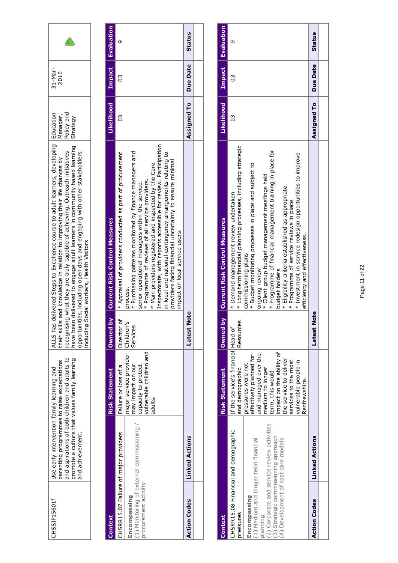| CHSSIP15601f                                                                  | promote a culture that values family learning<br>parenting programmes to raise expectations<br>Use early intervention family learning and<br>and achievement. | and aspirations of both children and adults to                                                                                   | recognisin<br>ncluding                | ALLS has delivered Steps to Excellence course to adult learners, developing<br>have been delivered to engage adult learners in community based learning<br>opportunities, including open days and engaging with other stakeholders<br>g what they are truly capable of achieving. Outreach initiatives<br>their skills and knowledge in relation to improving their life chances by<br>Social workers, Health Visitors                                                                                                          | Policy and<br>Education<br>Manager,<br>Strategy | $31-Nar-$<br>2016 |               |
|-------------------------------------------------------------------------------|---------------------------------------------------------------------------------------------------------------------------------------------------------------|----------------------------------------------------------------------------------------------------------------------------------|---------------------------------------|---------------------------------------------------------------------------------------------------------------------------------------------------------------------------------------------------------------------------------------------------------------------------------------------------------------------------------------------------------------------------------------------------------------------------------------------------------------------------------------------------------------------------------|-------------------------------------------------|-------------------|---------------|
|                                                                               |                                                                                                                                                               |                                                                                                                                  |                                       |                                                                                                                                                                                                                                                                                                                                                                                                                                                                                                                                 |                                                 |                   |               |
| Context                                                                       |                                                                                                                                                               | <b>Risk Statement</b>                                                                                                            | Owned by                              | <b>Current Risk Control Measures</b>                                                                                                                                                                                                                                                                                                                                                                                                                                                                                            | Likelihood                                      | Impact            | Evaluation    |
| CHSRR15.07 Failure of major providers<br>procurement activity<br>Encompassing | (1) Monitoring of external commissioning /                                                                                                                    | vulnerable children and<br>major service provider<br>may impact on our<br>capacity to protect<br>Failure or loss of a<br>adults. | Director of<br>Children's<br>Services | Inspectorate, with reports accessible for review. Participation<br>* Appraisal of providers conducted as part of procurement<br>* Purchasing patterns monitored by finance managers and<br>in local and national contingency arrangements relating to<br>providers facing financial uncertainty to ensure minimal<br>* Main providers registered and inspected by the Care<br>* Programme of reviews of all service providers.<br>senior operational managers within the service.<br>impact on local service users.<br>process. | CS                                              | CS                | ᡡ             |
| <b>Action Codes</b>                                                           | <b>Linked Actions</b>                                                                                                                                         |                                                                                                                                  | ote<br>Latest N                       |                                                                                                                                                                                                                                                                                                                                                                                                                                                                                                                                 | Assigned To                                     | Due Date          | <b>Status</b> |
|                                                                               |                                                                                                                                                               |                                                                                                                                  |                                       |                                                                                                                                                                                                                                                                                                                                                                                                                                                                                                                                 |                                                 |                   |               |
| Context                                                                       |                                                                                                                                                               | <b>Risk Statement</b>                                                                                                            | Owned by                              | <b>Current Risk Control Measures</b>                                                                                                                                                                                                                                                                                                                                                                                                                                                                                            | Likelihood                                      | <b>Impact</b>     | Evaluation    |
| pressures                                                                     | CHSRR15.08 Financial and demographic                                                                                                                          | If the service's financial Head of<br>and demographic                                                                            | Resources                             | * Long term financial planning processes, including strategic<br>* Demand management review undertaken                                                                                                                                                                                                                                                                                                                                                                                                                          | CS                                              | CS                | Ō             |
| Encompassing                                                                  |                                                                                                                                                               | effectively nlanned for<br>pressures were not                                                                                    |                                       | * Budget monitoring processes in place and subject to<br>commissioning plans                                                                                                                                                                                                                                                                                                                                                                                                                                                    |                                                 |                   |               |

| Context                                                                                                                                                                                                                                            |                       | <b>Risk Statement</b>                                                                                                                                                                                                                                                                        | <b>Owned</b> by | <b>Current Risk Control Measures</b>                                                                                                                                                                                                                                                                                                                                                                                                                                                                                                    | Likelihood  |                 | Impact <b>Evaluation</b> |
|----------------------------------------------------------------------------------------------------------------------------------------------------------------------------------------------------------------------------------------------------|-----------------------|----------------------------------------------------------------------------------------------------------------------------------------------------------------------------------------------------------------------------------------------------------------------------------------------|-----------------|-----------------------------------------------------------------------------------------------------------------------------------------------------------------------------------------------------------------------------------------------------------------------------------------------------------------------------------------------------------------------------------------------------------------------------------------------------------------------------------------------------------------------------------------|-------------|-----------------|--------------------------|
| (2) Corporate and service review activities<br>CHSRR15.08 Financial and demographic<br>(3) Strategic commissioning approach<br>4) Development of cost care models<br>(1) Medium and longer term financial<br>Encompassing<br>pressures<br>planning |                       | If the service's financial Head of<br>mpact on the ability of<br>and managed over the<br>effectively planned for<br>the service to deliver<br>services to the most<br>vulnerable people in<br>pressures were not<br>medium to longer<br>and demographic<br>term, this would<br>Renfrewshire. | Resources       | * Long term financial planning processes, including strategic<br>* Programme of financial management training in place for<br>* Investment in service redesign opportunities to improve<br>* Budget monitoring processes in place and subject to<br>* Client group budget management meetings held<br>* Eligibility criteria established as appropriate<br>* Demand management review undertaken<br>* Programme of service reviews in place<br>efficiency and effectiveness.<br>commissioning plans<br>ongoing review<br>budget holders | 3           | SO              | σ                        |
| <b>Action Codes</b>                                                                                                                                                                                                                                | <b>Linked Actions</b> |                                                                                                                                                                                                                                                                                              | atest<br>Note   |                                                                                                                                                                                                                                                                                                                                                                                                                                                                                                                                         | Assigned To | <b>Due Date</b> | <b>Status</b>            |
|                                                                                                                                                                                                                                                    |                       |                                                                                                                                                                                                                                                                                              |                 |                                                                                                                                                                                                                                                                                                                                                                                                                                                                                                                                         |             |                 |                          |
|                                                                                                                                                                                                                                                    |                       |                                                                                                                                                                                                                                                                                              |                 |                                                                                                                                                                                                                                                                                                                                                                                                                                                                                                                                         |             |                 |                          |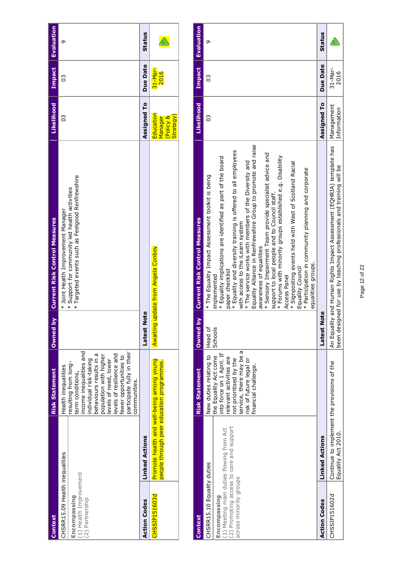| Context                                                                                     |                                                                                        | <b>Risk Statement</b>                                                                                                                                                                                                                                    | <b>Owned by</b> | <b>Current Risk Control Measures</b>                                                                                                      | Likelihood                                           | Impact          | Evaluation |
|---------------------------------------------------------------------------------------------|----------------------------------------------------------------------------------------|----------------------------------------------------------------------------------------------------------------------------------------------------------------------------------------------------------------------------------------------------------|-----------------|-------------------------------------------------------------------------------------------------------------------------------------------|------------------------------------------------------|-----------------|------------|
| CHSRR15.09 Health inequalities<br>(1) Health Improvement<br>Encompassing<br>(2) Partnership |                                                                                        | income inequalities and<br>behaviours results in a<br>levels of resilience and<br>population with higher<br>fewer opportunities to<br>individual risk-taking<br>levels of need, lower<br>resulting from long-<br>Health inequalities<br>term conditions, |                 | Targeted events such as Feelgood Renfrewshire<br>* Support for community led health activities<br>* Joint Health Improvement Manager<br>¥ | C                                                    | C               | σ          |
| <b>Action Codes</b>                                                                         | <b>Linked Actions</b>                                                                  | participate fully in their<br>communities.                                                                                                                                                                                                               | Jote<br>atest l |                                                                                                                                           | Assigned To                                          | <b>Due Date</b> | Status     |
| CHSSIP151603d                                                                               | Promote health and well-being among young<br>people through peer education programmes. |                                                                                                                                                                                                                                                          |                 | Awaiting update from Angela Conboy                                                                                                        | Education<br>Strategy)<br>Policy &<br><b>Vanager</b> | 31-Mar-<br>2016 |            |

| <b>Context</b>                                                                                                                                               |                                                                   | <b>Risk Statement</b>                                                                                                                                                                                            | ă<br>Owned         | <b>Current Risk Control Measures</b>                                                                                                                                                                                                                                                                                                                                                                                                                                                                                                                                                                                                                                                                                                                            | Likelihood                | Impact              | Evaluation    |
|--------------------------------------------------------------------------------------------------------------------------------------------------------------|-------------------------------------------------------------------|------------------------------------------------------------------------------------------------------------------------------------------------------------------------------------------------------------------|--------------------|-----------------------------------------------------------------------------------------------------------------------------------------------------------------------------------------------------------------------------------------------------------------------------------------------------------------------------------------------------------------------------------------------------------------------------------------------------------------------------------------------------------------------------------------------------------------------------------------------------------------------------------------------------------------------------------------------------------------------------------------------------------------|---------------------------|---------------------|---------------|
| (2) Promoting access to care and support<br>(1) Meeting main duties flowing from Act<br>CHSRR15.10 Equality duties<br>across minority groups<br>Encompassing |                                                                   | ത<br>nto force on 1 April. If<br>New duties relating to<br>the Equality Act come<br>service, there may be<br>elevant activities are<br>not prioritised by the<br>risk of future legal or<br>financial challenge. | Schools<br>Head of | Equality Alliance in Renfrewshire Group to promote and raise<br>* Equality and diversity training is offered to all employees<br>* Sensory Impairment Team provide specialist advice and<br>* Forums with minority groups established e.g. Disability<br>* Equality implications are identified as part of the board<br>* The service works with members of the Diversity and<br>* Signposting events held with West of Scotland Racial<br>* Participation in community planning and corporate<br>* The Equality Impact Assessment toolkit is being<br>support to local people and to Council staff.<br>with access to the iLearn system<br>awareness of equalities<br>equalities groups.<br>Equality Council<br>paper checklist<br>implemented<br>Access Panel | 03                        | C                   | თ             |
| <b>Action Codes</b>                                                                                                                                          | <b>Linked Actions</b>                                             |                                                                                                                                                                                                                  | Note<br>Latest     |                                                                                                                                                                                                                                                                                                                                                                                                                                                                                                                                                                                                                                                                                                                                                                 | Assigned To               | Due Date            | <b>Status</b> |
| CHSSIP151602d                                                                                                                                                | Continue to implement the provisions of the<br>Equality Act 2010. |                                                                                                                                                                                                                  |                    | An Equality and Human Rights Impact Assessment (EQHRIA) template has<br>been designed for use by teaching professionals and training will be                                                                                                                                                                                                                                                                                                                                                                                                                                                                                                                                                                                                                    | Management<br>Information | $31 - Mar-$<br>2016 |               |

## Page 12 of 22 Page 12 of 22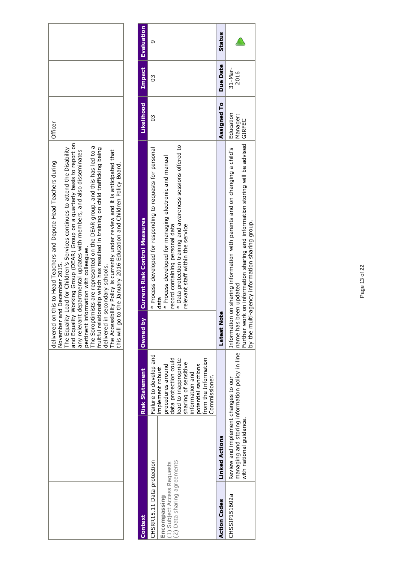|                                                                                                                                                                                                                                                                                                                                                                                                                                                                                                                                                                                                                                                                                                                                                                                            | <b>Evaluation</b><br>თ                                                                                                                                                                                                                                                                                        |
|--------------------------------------------------------------------------------------------------------------------------------------------------------------------------------------------------------------------------------------------------------------------------------------------------------------------------------------------------------------------------------------------------------------------------------------------------------------------------------------------------------------------------------------------------------------------------------------------------------------------------------------------------------------------------------------------------------------------------------------------------------------------------------------------|---------------------------------------------------------------------------------------------------------------------------------------------------------------------------------------------------------------------------------------------------------------------------------------------------------------|
|                                                                                                                                                                                                                                                                                                                                                                                                                                                                                                                                                                                                                                                                                                                                                                                            | Impact<br>C                                                                                                                                                                                                                                                                                                   |
| <b>Officer</b>                                                                                                                                                                                                                                                                                                                                                                                                                                                                                                                                                                                                                                                                                                                                                                             | Likelihood<br>C                                                                                                                                                                                                                                                                                               |
| lity Working Group (DEAR) Group on a quarterly basis to report on<br>The Soroptimists are represented on the DEAR group, and this has led to a<br>lity Lead for Children's Services continues to attend the Disability<br>fruitful relationship which has resulted in training on child trafficking being<br>any relevant departmental updates with members, and also disseminates<br>The Accessibility Policy is currently under review and it is anticipated that<br>on this to Head Teachers and Depute Head Teachers during<br>this will go to the January 2016 Education and Children Policy Board.<br>pertinent information with colleagues.<br>November and December 2015.<br>The Equality Lead for Children's<br>and Equality Working Group (DE<br>delivered in secondary schools. | * Data protection training and awareness sessions offered to<br>* Process developed for responding to requests for personal<br>* Process developed for managing electronic and manual<br><b>Current Risk Control Measures</b><br>record containing personal data<br>relevant staff within the service<br>data |
| delivered                                                                                                                                                                                                                                                                                                                                                                                                                                                                                                                                                                                                                                                                                                                                                                                  | Owned by                                                                                                                                                                                                                                                                                                      |
|                                                                                                                                                                                                                                                                                                                                                                                                                                                                                                                                                                                                                                                                                                                                                                                            | Failure to develop and<br>  data protection could<br>  lead to inappropriate<br>  sharing of sensitive<br>from the Information<br>potential sanctions<br>procedures around<br>mplement robust<br><b>Risk Statement</b><br>information and<br>Commissioner.                                                    |
|                                                                                                                                                                                                                                                                                                                                                                                                                                                                                                                                                                                                                                                                                                                                                                                            | Data sharing agreements<br>CHSRR15.11 Data protection<br>(1) Subject Access Requests<br>Encompassing<br>Context<br>(2)                                                                                                                                                                                        |

| <b>Action Codes</b> | <b>Linked Actions</b>                                                                                                                    | <b>Latest Note</b>                                                                                                                                                                                                                     | Assigned To   Due Date |                 | Statu |
|---------------------|------------------------------------------------------------------------------------------------------------------------------------------|----------------------------------------------------------------------------------------------------------------------------------------------------------------------------------------------------------------------------------------|------------------------|-----------------|-------|
| CHSSIP151602a       | managing and storing information policy in line  name has been updated<br>Review and implement changes to our<br>with national guidance. | Information on sharing information with parents and on changing a child's I Education<br>Further work on information sharing and information storing will be advised  GIRFEC<br>he multi-agency information sharing group.<br>tt<br>Nd | Manager:               | 31-Mar-<br>2016 |       |
|                     |                                                                                                                                          |                                                                                                                                                                                                                                        |                        |                 |       |

**Status**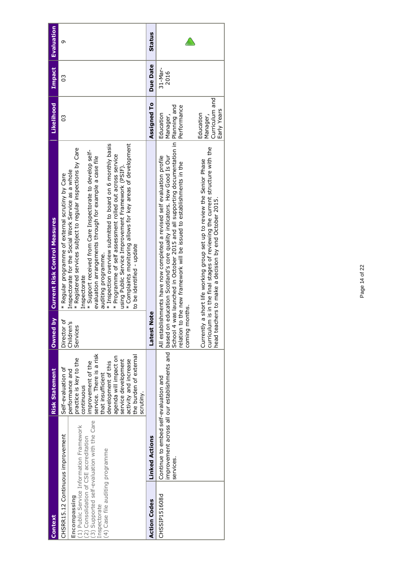| <b>Context</b>                                                                                                                                  |                                                                                         | <b>Risk Statement</b>                                                                                                                                                                                                                                                                       | Owned by                                | <b>Current Risk Control Measures</b>                                                                                                                                                                                                                                                                                                                                                                                                                                                                                                                                                                                 | Likelihood                                                                                     | <b>Impact</b>   | <b>Evaluation</b> |
|-------------------------------------------------------------------------------------------------------------------------------------------------|-----------------------------------------------------------------------------------------|---------------------------------------------------------------------------------------------------------------------------------------------------------------------------------------------------------------------------------------------------------------------------------------------|-----------------------------------------|----------------------------------------------------------------------------------------------------------------------------------------------------------------------------------------------------------------------------------------------------------------------------------------------------------------------------------------------------------------------------------------------------------------------------------------------------------------------------------------------------------------------------------------------------------------------------------------------------------------------|------------------------------------------------------------------------------------------------|-----------------|-------------------|
| CHSRR15.12 Continuous improvement<br>(2) Consolidation of CSE accreditation<br>(4) Case file auditing programme<br>Encompassing<br>Inspectorate | (3) Supported self-evaluation with the Care<br>(1) Public Service Information Framework | service. There is a risk<br>the burden of external<br>agenda will impact on<br>practice is key to the<br>activity and increase<br>service development<br>development of this<br>improvement of the<br>Self-evaluation of<br>performance and<br>that insufficient<br>continuous<br>scrutiny. | Director of<br>Children's<br>Services   | * Complaints monitoring allows for key areas of development<br>* Inspection overview submitted to board on 6 monthly basis<br>* Registered services subject to regular inspections by Care<br>* Support received from Care Inspectorate to develop self-<br>* Programme of self assessment rolled out across service<br>evaluation arrangements through for example a case file<br>using Public Service Improvement Framework (PSIF).<br>Inspectorate for the Social Work Service as a whole<br>* Regular programme of external scrutiny by Care<br>to be identified - update<br>auditing programme.<br>Inspectorate | CS                                                                                             | C               | Ō                 |
| <b>Action Codes</b>                                                                                                                             | <b>Linked Actions</b>                                                                   |                                                                                                                                                                                                                                                                                             | <b>Latest Note</b>                      |                                                                                                                                                                                                                                                                                                                                                                                                                                                                                                                                                                                                                      | Assigned To                                                                                    | Due Date        | <b>Status</b>     |
| CHSSIP151608d                                                                                                                                   | Continue to embed self-evaluation and<br>services.                                      | improvement across all our establishments and based on                                                                                                                                                                                                                                      | coming months.<br>Currently<br>School 4 | was launched in October 2015 and all supporting documentation in Planning and<br>curriculum is in the final stages of reviewing the current structure with the<br>education Scotland's core quality indicators. How Good Is Our<br>All establishments have now completed a revised self evaluation profile<br>a short life working group set up to review the Senior Phase<br>relation to the new framework will be issued to establishments in the<br>head teachers to make a decision by end October 2015.                                                                                                         | Curriculum and<br>Performance<br>Early Years<br>Education<br>Education<br>Manager,<br>Manager, | 31-Mar-<br>2016 |                   |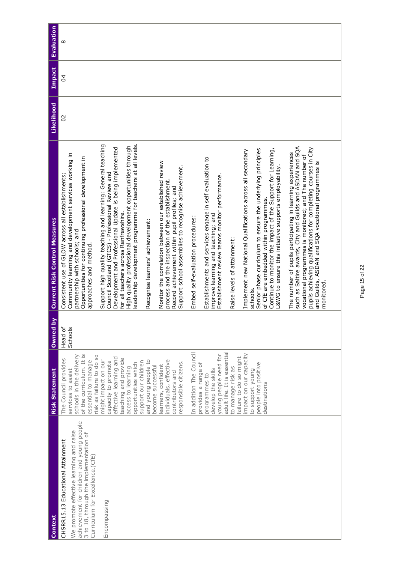| Context                                                                                                                                                            | <b>Risk Statement</b>                                                                                                        | Owned by | <b>Current Risk Control Measures</b>                                                                                                                                                                                                                                                                                   | Likelihood | Impact         | <b>Evaluation</b> |
|--------------------------------------------------------------------------------------------------------------------------------------------------------------------|------------------------------------------------------------------------------------------------------------------------------|----------|------------------------------------------------------------------------------------------------------------------------------------------------------------------------------------------------------------------------------------------------------------------------------------------------------------------------|------------|----------------|-------------------|
| CHSRR15.13 Educational Attainment                                                                                                                                  | The Council provides                                                                                                         | Head of  | Consistent use of GLOW across all establishments;                                                                                                                                                                                                                                                                      | 20         | $\overline{4}$ | $\infty$          |
| achievement for children and young people<br>We promote effective learning and raise<br>3 to 18, through the implementation of<br>Curriculum for Excellence. (CfE) | of the curriculum. It is<br>risk as failure to do so<br>schools in the delivery<br>essential to manage<br>services to assist | Schools  | Community learning and development services working in<br>Opportunities for continuing professional development in<br>partnership with schools; and<br>approaches and method.                                                                                                                                          |            |                |                   |
| Encompassing                                                                                                                                                       | effective learning and<br>might impact on our<br>capacity to promote                                                         |          | Support high quality teaching and learning: General teaching<br>Development and Professional Update is being implemented<br>Council Scotland (GTCS) - Professional Review and                                                                                                                                          |            |                |                   |
|                                                                                                                                                                    | teaching and provide<br>opportunities which<br>access to learning                                                            |          | eadership development programme for teachers at all levels.<br>High quality professional development opportunities through<br>for all teachers across Renfrewshire.                                                                                                                                                    |            |                |                   |
|                                                                                                                                                                    | and young people to<br>support our children<br>become successful                                                             |          | Recognise learners' achievement:                                                                                                                                                                                                                                                                                       |            |                |                   |
|                                                                                                                                                                    | individuals, effective<br>learners, confident                                                                                |          | Monitor the correlation between our established review<br>process and the inspection of the establishment.                                                                                                                                                                                                             |            |                |                   |
|                                                                                                                                                                    | responsible citizens<br>contributors and                                                                                     |          | Support school assemblies to recognise achievement.<br>Record achievement within pupil profiles; and                                                                                                                                                                                                                   |            |                |                   |
|                                                                                                                                                                    | In addition The Council                                                                                                      |          | Embed self-evaluation procedures:                                                                                                                                                                                                                                                                                      |            |                |                   |
|                                                                                                                                                                    | young people need for<br>provides a range of<br>develop the skills<br>programmes to                                          |          | Establishments and services engage in self evaluation to<br>Establishment review teams monitor performance.<br>improve learning and teaching; and                                                                                                                                                                      |            |                |                   |
|                                                                                                                                                                    | adult life. It is essential<br>to manage risk as                                                                             |          | Raise levels of attainment:                                                                                                                                                                                                                                                                                            |            |                |                   |
|                                                                                                                                                                    | impact on our capacity<br>failure to do so might<br>people into positive<br>to support young<br>destinations                 |          | Senior phase curriculum to ensure the underlying principles<br>Continue to monitor the impact of the Support for Learning,<br>Implement new National Qualifications across all secondary<br>L&WG to ensure this initiative supports employability.<br>of CfE are embedded within programmes.<br>schools.               |            |                |                   |
|                                                                                                                                                                    |                                                                                                                              |          | such as Saltire awards, City and Guilds and ASDAN and SQA<br>pupils achieving qualifications for completing courses in City<br>The number of pupils participating in learning experiences<br>vocational programmes is monitored; and The number of<br>and Guilds, ASDAN and SQA vocational programmes is<br>monitored. |            |                |                   |
|                                                                                                                                                                    |                                                                                                                              |          |                                                                                                                                                                                                                                                                                                                        |            |                |                   |

Page 15 of 22 Page 15 of 22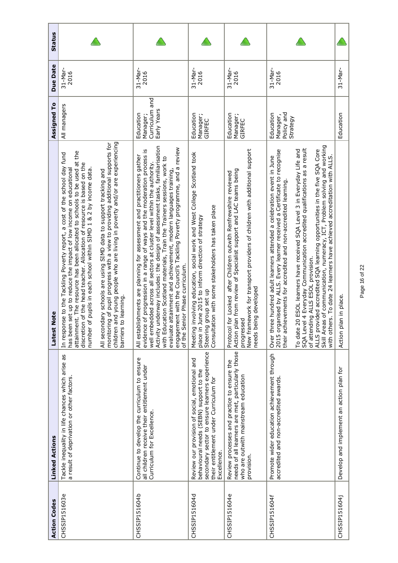| <b>Action Codes</b> | <b>Linked Actions</b>                                                                                                                                                                               | <b>Note</b><br>Latest                                                                                                                                                                                                                                                                                                                                                                                                                                                                                                                                                                                                                                | Assigned To                                            | Due Date          | <b>Status</b> |
|---------------------|-----------------------------------------------------------------------------------------------------------------------------------------------------------------------------------------------------|------------------------------------------------------------------------------------------------------------------------------------------------------------------------------------------------------------------------------------------------------------------------------------------------------------------------------------------------------------------------------------------------------------------------------------------------------------------------------------------------------------------------------------------------------------------------------------------------------------------------------------------------------|--------------------------------------------------------|-------------------|---------------|
| CHSSIP151603e       | Tackle inequality in life chances which arise as<br>a result of deprivation or other factors                                                                                                        | children and young people who are living in poverty and/or are experiencing<br>monitoring of pupil progress with a view to providing additional supports for<br>has been set up to reduce the impact of low income on educational<br>attainment. The resource has been allocated to schools to be used at the<br>In response to the Tackling Poverty report, a cost of the school day fund<br>discretion of the head teacher. Allocation of resource is based on the<br>number of pupils in each school within SIMD 1 & 2 by income data.<br>All secondary schools are using SIMD data to support tracking and<br>barriers to learning.              | All managers                                           | 31-Mar-<br>2016   |               |
| CHSSIP151604b       | Continue to develop the curriculum to ensure<br>all children receive their entitlement under<br>Curriculum for Excellence.                                                                          | underway includes: the design of assessment tasks, familiarisation<br>engagement with the Council's Tackling Poverty programme, and a review<br>evidence of progression in a range of ways and the moderation process is<br>All establishments are planning for assessment and practitioners gather<br>with Education Scotland materials, Train the Trainers sessions, work to<br>well embedded across all sectors at cluster level within the authority.<br>evaluate attainment and achievement, modern languages training,<br>of the Senior Phase curriculum.<br>Activity                                                                          | Curriculum and<br>Early Years<br>Education<br>Manager; | $31-Nar-$<br>2016 |               |
| CHSSIP151604d       | secondary sector to ensure learners experience<br>Review our provision of social, emotional and<br>behavioural needs (SEBN) support to the<br>their entitlement under Curriculum for<br>Excellence. | involving education, social work and West College Scotland took<br>ition with some stakeholders has taken place<br>place in June 2015 to inform direction of strategy<br>Steering group set up<br>Meeting<br>Consulta                                                                                                                                                                                                                                                                                                                                                                                                                                | Education<br>Manager;<br><b>GIRFEC</b>                 | $31-Nar-$<br>2016 |               |
| CHSSIP151604e       | needs of all learners are met, particularly those<br>Review processes and practice to ensure the<br>who are outwith mainstream education<br>provision.                                              | New framework for transport providers of children with additional support<br>Action plan from review of Specialist support and LAC teams being<br>for Looked after Children outwith Renfrewshire reviewed<br>needs being developed<br>progressed<br>Protocol                                                                                                                                                                                                                                                                                                                                                                                         | Education<br>Manager;<br>GIRFEC                        | 31-Mar-<br>2016   |               |
| CHSSIP151604f       | Promote wider education achievement through<br>accredited and non-accredited awards.                                                                                                                | Skill Areas of communication, numeracy, ICT, Problem solving and working<br>SQA Level 4 Everyday Communication accredited qualifications as a result<br>ALLS provided accredited SQA learning opportunities in the five SQA Core<br>To date 20 ESOL learners have received SQA Level 3 in Everyday Life and<br>2015 organised by ALLS. Every learner received a Certificate to recognise<br>with others. To date 24 learners have achieved accreditation with ALLS.<br>Over three hundred adult learners attended a celebration event in June<br>their achievements for accredited and non-accredited learning.<br>of attending ALLS ESOL provision. | Policy and<br>Education<br>Manager,<br>Strategy        | $31-Nar-$<br>2016 |               |
| CHSSIP151604j       | Develop and implement an action plan for                                                                                                                                                            | Action plan in place.                                                                                                                                                                                                                                                                                                                                                                                                                                                                                                                                                                                                                                | Education                                              | $31-Nar-$         |               |

Page 16 of 22 Page 16 of 22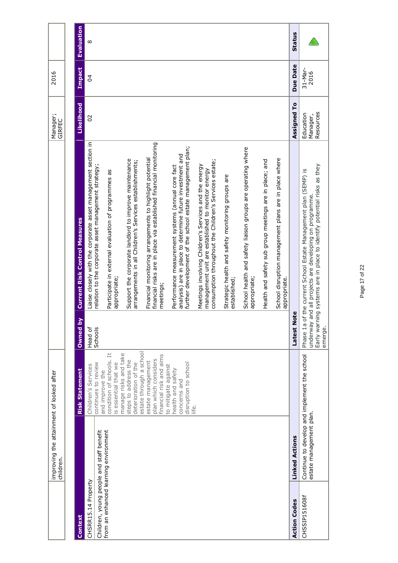|                                          | improving the attainment of looked after<br>children. |                                                                       |                     |                                                                                                                                                                                            | Manager;<br>GIRFEC                 | 2016            |                   |
|------------------------------------------|-------------------------------------------------------|-----------------------------------------------------------------------|---------------------|--------------------------------------------------------------------------------------------------------------------------------------------------------------------------------------------|------------------------------------|-----------------|-------------------|
|                                          |                                                       |                                                                       |                     |                                                                                                                                                                                            |                                    |                 |                   |
| Context                                  |                                                       | <b>Risk Statement</b>                                                 | $\geq$<br>Owned     | <b>Current Risk Control Measures</b>                                                                                                                                                       | Likelihood                         | Impact          | <b>Evaluation</b> |
| CHSRR15.14 Property                      |                                                       | Children's Services                                                   | Head of<br>Schools  | Liaise closely with the corporate asset management section in                                                                                                                              | 20                                 | $\overline{6}$  | $\infty$          |
| Children, young people and staff benefit |                                                       | continues to review<br>and improve the                                |                     | relation to the corporate asset management strategy;                                                                                                                                       |                                    |                 |                   |
| from an enhanced learning environment    |                                                       | condition of schools. It<br>is essential that we                      |                     | Participate in external evaluation of programmes as<br>appropriate;                                                                                                                        |                                    |                 |                   |
|                                          |                                                       | manage risks and take<br>steps to address the<br>deterioration of the |                     | Support the corporate landlord to improve maintenance<br>arrangements in all Children's Services establishments;                                                                           |                                    |                 |                   |
|                                          |                                                       | estate through a school                                               |                     |                                                                                                                                                                                            |                                    |                 |                   |
|                                          |                                                       | financial risk and aims<br>plan which considers<br>estate management  |                     | financial risks are in place via established financial monitoring<br>Financial monitoring arrangements to highlight potential<br>meetings;                                                 |                                    |                 |                   |
|                                          |                                                       | to mitigate against                                                   |                     |                                                                                                                                                                                            |                                    |                 |                   |
|                                          |                                                       | health and safety                                                     |                     | Performance measurement systems (annual core fact                                                                                                                                          |                                    |                 |                   |
|                                          |                                                       | disruption to school<br>concerns and                                  |                     | further development of the school estate management plan;<br>analysis) are in place to determine future investment and                                                                     |                                    |                 |                   |
|                                          |                                                       | life.                                                                 |                     | consumption throughout the Children's Services estate;<br>Meetings involving Children's Services and the energy<br>management unit are established to monitor energy                       |                                    |                 |                   |
|                                          |                                                       |                                                                       |                     | Strategic health and safety monitoring groups are<br>established;                                                                                                                          |                                    |                 |                   |
|                                          |                                                       |                                                                       |                     | School health and safety liaison groups are operating where<br>appropriate;                                                                                                                |                                    |                 |                   |
|                                          |                                                       |                                                                       |                     | Health and safety sub group meetings are in place; and                                                                                                                                     |                                    |                 |                   |
|                                          |                                                       |                                                                       |                     | School disruption management plans are in place where<br>appropriate.                                                                                                                      |                                    |                 |                   |
| <b>Action Codes</b>                      | <b>Linked Actions</b>                                 |                                                                       | Note<br>Latest      |                                                                                                                                                                                            | Assigned To                        | Due Date        | <b>Status</b>     |
| CHSSIP151608f                            | estate management plan.                               | Continue to develop and implement the school                          | Phase 1a<br>emerge. | underway and all projects are developing on programme.<br>Early warning systems are in place to identify potential risks as they<br>of the current School Estate Management plan (SEMP) is | Resources<br>Education<br>Manager, | 31-Mar-<br>2016 |                   |

# Page 17 of 22 Page 17 of 22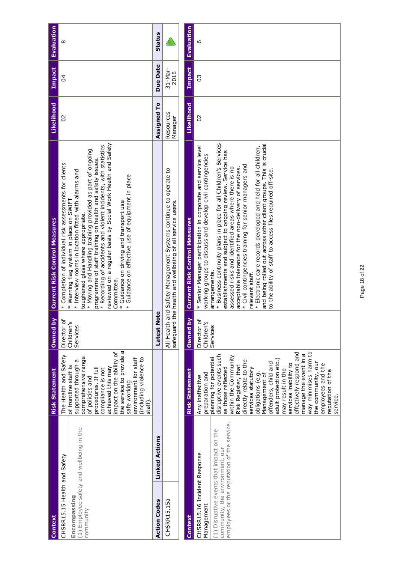| Context                                                                                                                                                                  | <b>Risk Statement</b>                                                                                                                                                                                                                                                                                                                                                                      | Owned by                              | <b>Current Risk Control Measures</b>                                                                                                                                                                                                                                                                                                                                                                                                                                                                                                                                        | Likelihood           | <b>Impact</b>   | <b>Evaluation</b> |
|--------------------------------------------------------------------------------------------------------------------------------------------------------------------------|--------------------------------------------------------------------------------------------------------------------------------------------------------------------------------------------------------------------------------------------------------------------------------------------------------------------------------------------------------------------------------------------|---------------------------------------|-----------------------------------------------------------------------------------------------------------------------------------------------------------------------------------------------------------------------------------------------------------------------------------------------------------------------------------------------------------------------------------------------------------------------------------------------------------------------------------------------------------------------------------------------------------------------------|----------------------|-----------------|-------------------|
| (1) Employee safety and wellbeing in the<br>CHSRR15.15 Health and Safety<br>Encompassing<br>community                                                                    | the service to provide a<br>impact on the ability of<br>The Health and Safety<br>comprehensive range<br>environment for staff<br>(including violence to<br>supported through a<br>of frontline staff is<br>achieved this may<br>compliance is not<br>procedures. If full<br>of policies and<br>safe working<br>staff).                                                                     | Director of<br>Children's<br>Services | reviewed on a regular basis by Social Work Health and Safety<br>* Recording of accidents and violent incidents, with statistics<br>* Moving and Handling training provided as part of ongoing<br>programme of staff training on health and safety issues.<br>* Completion of individual risk assessments for clients<br>* Interview rooms in location fitted with alarms and<br>* Guidance on effective use of equipment in place<br>* Warning flag system in place on SWIFT<br>* Guidance on driving and transport use<br>toughened glass where appropriate.<br>Committee. | 20                   | 24              | ∞                 |
| <b>Action Codes</b>                                                                                                                                                      | <b>Linked Actions</b>                                                                                                                                                                                                                                                                                                                                                                      | lote<br><b>Latest N</b>               |                                                                                                                                                                                                                                                                                                                                                                                                                                                                                                                                                                             | Assigned To          | Due Date        | <b>Status</b>     |
| CHSRR15.15a                                                                                                                                                              |                                                                                                                                                                                                                                                                                                                                                                                            | and<br>All Health<br>safeguard        | Safety Management Systems continue to operate to<br>the health and wellbeing of all service users.                                                                                                                                                                                                                                                                                                                                                                                                                                                                          | Resources<br>Manager | 31-Mar-<br>2016 |                   |
| Context                                                                                                                                                                  | <b>Risk Statement</b>                                                                                                                                                                                                                                                                                                                                                                      | Owned by                              | <b>Current Risk Control Measures</b>                                                                                                                                                                                                                                                                                                                                                                                                                                                                                                                                        | Likelihood           | <b>Impact</b>   | <b>Evaluation</b> |
| employees or the reputation of the service.<br>(1) Disruptive events that impact on the<br>community, the environment, our<br>CHSRR15.16 Incident Response<br>Management | disruptive events such<br>planning for potential<br>as those reflected<br>preparation and<br>Any ineffective                                                                                                                                                                                                                                                                               | Director of<br>Children's<br>Services | * Business continuity plans in place for all Children's Services<br>* Senior Manager participation in corporate and service level<br>establishments and subject to ongoing review. Service has<br>working groups to discuss and develop civil contingencies<br>arrangements.                                                                                                                                                                                                                                                                                                | $\overline{C}$       | C <sub>3</sub>  | م                 |
|                                                                                                                                                                          | way minimises harm to<br>effectively respond and<br>manage the event in a<br>within the Community<br>adult protection etc.)<br>directly relate to the<br>the community, our<br>offenders, child and<br>services inability to<br>employees and the<br>Risk Register, that<br>services statutory<br>may result in the<br>reputation of the<br>obligations (e.g.<br>Management of<br>service. |                                       | and being rolled out across other client groups. This is crucial<br>* Electronic care records developed and held for all children,<br>* Civil contingencies training for senior managers and<br>assessed risks and identified areas where there is no<br>acceptable tolerance for the non-delivery of services.<br>to the ability of staff to access files required off-site.<br>relevant staff.                                                                                                                                                                            |                      |                 |                   |

Page 18 of 22 Page 18 of 22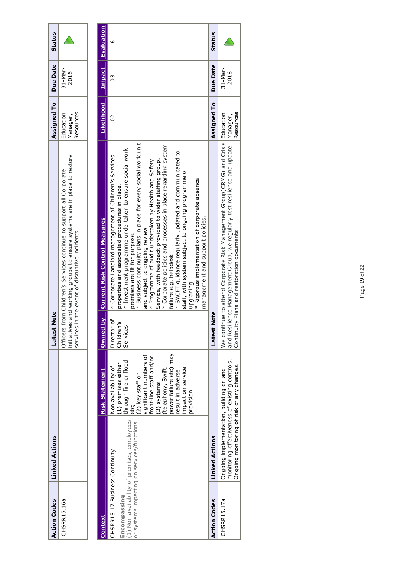| <b>Action Codes</b> | <b>Linked Actions</b> | lote<br>atest                                                                                                                                                                                          | Assigned To Due Date               |                 | <b>Status</b> |
|---------------------|-----------------------|--------------------------------------------------------------------------------------------------------------------------------------------------------------------------------------------------------|------------------------------------|-----------------|---------------|
| <b>HSRR15.16a</b>   |                       | and working groups to ensure systems are in place to restore<br>Officers from Children's Services continue to support all Corporate<br>in the event of disruptive incidents.<br>nitiatives<br>services | cesources<br>Education<br>lanager, | 31-Mar-<br>2016 | $\triangle$   |
|                     |                       |                                                                                                                                                                                                        |                                    |                 |               |

|                                |                                                                                                                                         |                                                                                                                                                                                                                                                     | Owned by               | <b>Current Risk Control Measures</b>                                                                                                                                                                                                                                                                                                                                                                                                                                                                                                                                                                                                                                            | Likelihood            |                 |               |
|--------------------------------|-----------------------------------------------------------------------------------------------------------------------------------------|-----------------------------------------------------------------------------------------------------------------------------------------------------------------------------------------------------------------------------------------------------|------------------------|---------------------------------------------------------------------------------------------------------------------------------------------------------------------------------------------------------------------------------------------------------------------------------------------------------------------------------------------------------------------------------------------------------------------------------------------------------------------------------------------------------------------------------------------------------------------------------------------------------------------------------------------------------------------------------|-----------------------|-----------------|---------------|
| Context                        |                                                                                                                                         | <b>Risk Statement</b>                                                                                                                                                                                                                               |                        |                                                                                                                                                                                                                                                                                                                                                                                                                                                                                                                                                                                                                                                                                 |                       | Impact          | Evaluation    |
| CHSRR15.17 Business Continuity |                                                                                                                                         | Non availability of                                                                                                                                                                                                                                 | Director of            | * Corporate Landlord management of Children's Services                                                                                                                                                                                                                                                                                                                                                                                                                                                                                                                                                                                                                          | SO                    | C               | G             |
| Encompassing                   | (1) Non-availability of premises, employees<br>or systems impacting on services/functions                                               | power failure etc) may<br>significant numbers of<br>front-line staff and/or<br>through fire or flood<br>(1) premises either<br>telephony, Swift,<br>impact on service<br>result in adverse<br>(2) key staff or<br>(3) systems<br>provision.<br>etc; | Children's<br>Services | * Business continuity plans in place for every social work unit<br>* Corporate policies and processes in place regarding system<br>* Investment programme undertaken to ensure social work<br>* SWIFT guidance regularly updated and communicated to<br>Service, with feedback provided to wider staffing group.<br>* Programme of audit undertaken by Health and Safety<br>staff, with system subject to ongoing programme of<br>* Rigorous implementation of corporate absence<br>properties and associated procedures in place.<br>management and support policies.<br>and subject to ongoing review<br>premises are fit for purpose.<br>failure e.g. helpdesk<br>upgrading. |                       |                 |               |
| <b>Action Codes</b>            | <b>Linked Actions</b>                                                                                                                   |                                                                                                                                                                                                                                                     | <b>e</b><br>Latest No  |                                                                                                                                                                                                                                                                                                                                                                                                                                                                                                                                                                                                                                                                                 | Assigned To           | <b>Due Date</b> | <b>Status</b> |
| CHSRR15.17a                    | monitoring effectiveness of existing controls.<br>Ongoing monitoring of risk of any changes.<br>Ongoing implementation, building on and |                                                                                                                                                                                                                                                     |                        | We continue to attend Corporate Risk Management Group(CRMG) and Crisis Education<br>and Resilience Management Group, we regularly test resilience and update<br>Continuity Plans and restoration documents                                                                                                                                                                                                                                                                                                                                                                                                                                                                      | Resources<br>Manager, | 31-Mar-<br>2016 |               |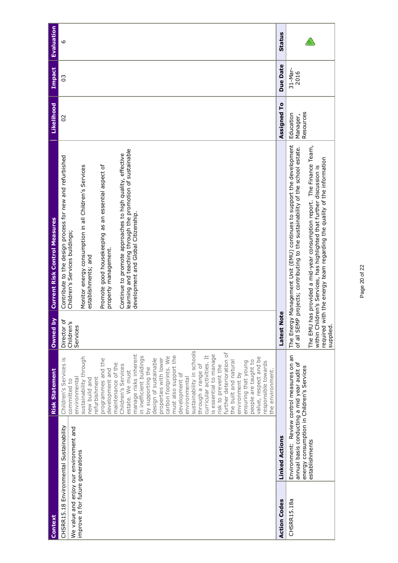| Context                                |                                                                                           | <b>Risk Statement</b>                                               | $\geq$<br><b>Owned</b>                | <b>Current Risk Control Measures</b>                                                                                                            | Likelihood            | Impact          | Evaluation    |
|----------------------------------------|-------------------------------------------------------------------------------------------|---------------------------------------------------------------------|---------------------------------------|-------------------------------------------------------------------------------------------------------------------------------------------------|-----------------------|-----------------|---------------|
| We value and enjoy our environment and | CHSRR15.18 Environmental Sustainability                                                   | Children's Services is<br>environmental<br>committed to             | Director of<br>Children's<br>Services | Contribute to the design process for new and refurbished<br>Children's Services buildings;                                                      | SO                    | 30              | م             |
| improve it for future generations      |                                                                                           | sustainability through<br>refurbishment<br>new build and            |                                       | Monitor energy consumption in all Children's Services<br>establishments; and                                                                    |                       |                 |               |
|                                        |                                                                                           | programmes and the<br>development and                               |                                       | Promote good housekeeping as an essential aspect of<br>property management.                                                                     |                       |                 |               |
|                                        |                                                                                           | maintenance of the<br>Children's Services<br>estate. We must        |                                       | learning and teaching through the promotion of sustainable<br>Continue to promote approaches to high quality, effective                         |                       |                 |               |
|                                        |                                                                                           | manage risks inherent<br>in inefficient buildings                   |                                       | development and Global Citizenship.                                                                                                             |                       |                 |               |
|                                        |                                                                                           | properties with lower<br>design of sustainable<br>by supporting the |                                       |                                                                                                                                                 |                       |                 |               |
|                                        |                                                                                           | must also support the<br>carbon footprints. We                      |                                       |                                                                                                                                                 |                       |                 |               |
|                                        |                                                                                           | development of                                                      |                                       |                                                                                                                                                 |                       |                 |               |
|                                        |                                                                                           | sustainability in schools<br>environmental                          |                                       |                                                                                                                                                 |                       |                 |               |
|                                        |                                                                                           | through a range of                                                  |                                       |                                                                                                                                                 |                       |                 |               |
|                                        |                                                                                           | is essential to manage<br>curricular activities. It                 |                                       |                                                                                                                                                 |                       |                 |               |
|                                        |                                                                                           | risk to prevent the                                                 |                                       |                                                                                                                                                 |                       |                 |               |
|                                        |                                                                                           | further deterioration of<br>the built and natural                   |                                       |                                                                                                                                                 |                       |                 |               |
|                                        |                                                                                           | environment by                                                      |                                       |                                                                                                                                                 |                       |                 |               |
|                                        |                                                                                           | people are taught to<br>ensuring that young                         |                                       |                                                                                                                                                 |                       |                 |               |
|                                        |                                                                                           | value, respect and be<br>responsible towards                        |                                       |                                                                                                                                                 |                       |                 |               |
| <b>Action Codes</b>                    | <b>Linked Actions</b>                                                                     | the environment.                                                    | Note<br>Latest                        |                                                                                                                                                 | Assigned To           | Due Date        | <b>Status</b> |
| CHSRR15.18a                            | Environment: Review control measures on an<br>annual basis conducting a mid year audit of |                                                                     | The Ener                              | gy Management Unit (EMU) continues to support the development<br>of all SEMP projects; contributing to the sustainability of the school estate. | Education<br>Manager, | 31-Mar-<br>2016 |               |
|                                        | energy consumption in Children's Services                                                 |                                                                     |                                       |                                                                                                                                                 | Resources             |                 |               |
|                                        | establishments                                                                            |                                                                     | The EMU                               | has provided a mid-year consumption report. The Finance Team,<br>within Children's Services, has highlighted that further discussion is         |                       |                 |               |
|                                        |                                                                                           |                                                                     | required                              | with the energy team regarding the quality of the information                                                                                   |                       |                 |               |
|                                        |                                                                                           |                                                                     | supplied.                             |                                                                                                                                                 |                       |                 |               |

Page 20 of 22 Page 20 of 22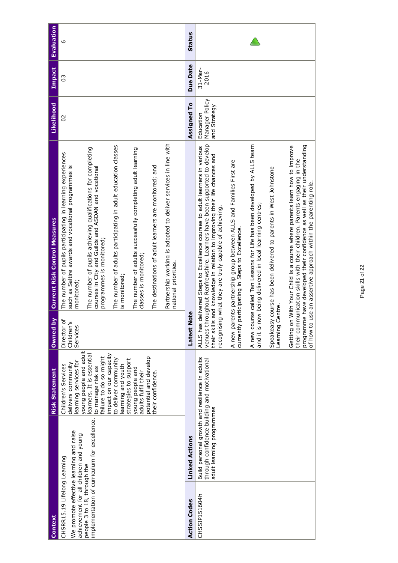| Context                                                                           |                                                                                                                             | <b>Risk Statement</b>                                                    | Owned by               | <b>Current Risk Control Measures</b>                                                                                                                                                                                                                                                     | Likelihood                                  | <b>Impact</b>   | <b>Evaluation</b> |
|-----------------------------------------------------------------------------------|-----------------------------------------------------------------------------------------------------------------------------|--------------------------------------------------------------------------|------------------------|------------------------------------------------------------------------------------------------------------------------------------------------------------------------------------------------------------------------------------------------------------------------------------------|---------------------------------------------|-----------------|-------------------|
| CHSRR15.19 Lifelong Learning                                                      |                                                                                                                             | Children's Services                                                      | Director of            | The number of pupils participating in learning experiences                                                                                                                                                                                                                               | 20                                          | C <sub>3</sub>  | م                 |
| We promote effective learning and raise<br>achievement for all children and young |                                                                                                                             | young people and adult<br>learning services for<br>delivers community    | Children's<br>Services | such as Saltire awards and vocational programmes is<br>monitored;                                                                                                                                                                                                                        |                                             |                 |                   |
| people 3 to 18, through the                                                       | implementation of curriculum for excellence.                                                                                | learners. It is essential<br>failure to do so might<br>to manage risk as |                        | The number of pupils achieving qualifications for completing<br>courses in City and Guilds and ASDAN and vocationa<br>programmes is monitored;                                                                                                                                           |                                             |                 |                   |
|                                                                                   |                                                                                                                             | impact on our capacity<br>to deliver community<br>learning and youth     |                        | The number of adults participating in adult education classes<br>is monitored;                                                                                                                                                                                                           |                                             |                 |                   |
|                                                                                   |                                                                                                                             | strategies to support<br>young people and<br>adults fulfil their         |                        | The number of adults successfully completing adult learning<br>classes is monitored                                                                                                                                                                                                      |                                             |                 |                   |
|                                                                                   |                                                                                                                             | potential and develop<br>their confidence.                               |                        | The destinations of adult learners are monitored; and                                                                                                                                                                                                                                    |                                             |                 |                   |
|                                                                                   |                                                                                                                             |                                                                          |                        | Partnership working is adopted to deliver services in line with<br>national priorities.                                                                                                                                                                                                  |                                             |                 |                   |
| <b>Action Codes</b>                                                               | <b>Linked Actions</b>                                                                                                       |                                                                          | Latest Note            |                                                                                                                                                                                                                                                                                          | Assigned To                                 | Due Date        | <b>Status</b>     |
| CHSSIP151604h                                                                     | Build personal growth and resilience in adults<br>through confidence building and motivational<br>adult learning programmes |                                                                          | recognisin             | venues throughout Renfrewshire. Learners have been supported to develop<br>ALLS has delivered Steps to Excellence courses to adult learners in various<br>their skills and knowledge in relation to improving their life chances and<br>g what they are truly capable of achieving.      | Manager Policy<br>and Strategy<br>Education | 31-Mar-<br>2016 |                   |
|                                                                                   |                                                                                                                             |                                                                          | currently              | A new parents partnership group between ALLS and Families First are<br>participating in Steps to Excellence.                                                                                                                                                                             |                                             |                 |                   |
|                                                                                   |                                                                                                                             |                                                                          |                        | A new course called Ten Lessons for Life has been developed by ALLS team<br>and it is now being delivered in local learning centres;                                                                                                                                                     |                                             |                 |                   |
|                                                                                   |                                                                                                                             |                                                                          | Centre.<br>Learning    | Speakeasy course has been delivered to parents in West Johnstone                                                                                                                                                                                                                         |                                             |                 |                   |
|                                                                                   |                                                                                                                             |                                                                          | of how to              | programme have developed their confidence as well as their understanding<br>Getting on With Your Child is a course where parents learn how to improve<br>their communication skills with their children. Parents engaging in the<br>use an assertive approach within the parenting role. |                                             |                 |                   |